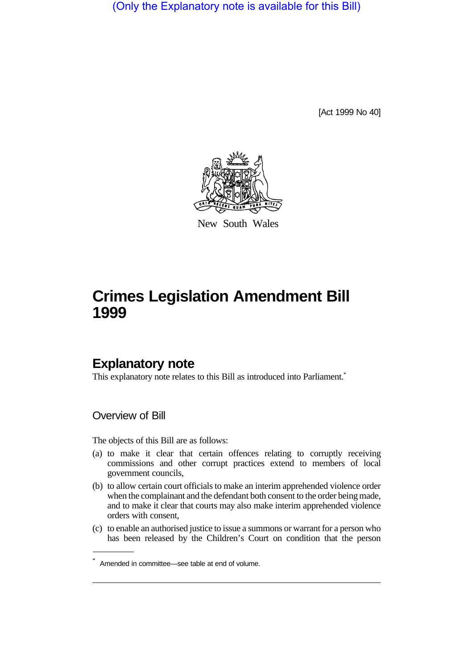(Only the Explanatory note is available for this Bill)

[Act 1999 No 40]



New South Wales

# **Crimes Legislation Amendment Bill 1999**

### **Explanatory note**

This explanatory note relates to this Bill as introduced into Parliament.<sup>\*</sup>

Overview of Bill

The objects of this Bill are as follows:

- (a) to make it clear that certain offences relating to corruptly receiving commissions and other corrupt practices extend to members of local government councils,
- (b) to allow certain court officials to make an interim apprehended violence order when the complainant and the defendant both consent to the order being made, and to make it clear that courts may also make interim apprehended violence orders with consent,
- (c) to enable an authorised justice to issue a summons or warrant for a person who has been released by the Children's Court on condition that the person

<sup>\*</sup> Amended in committee—see table at end of volume.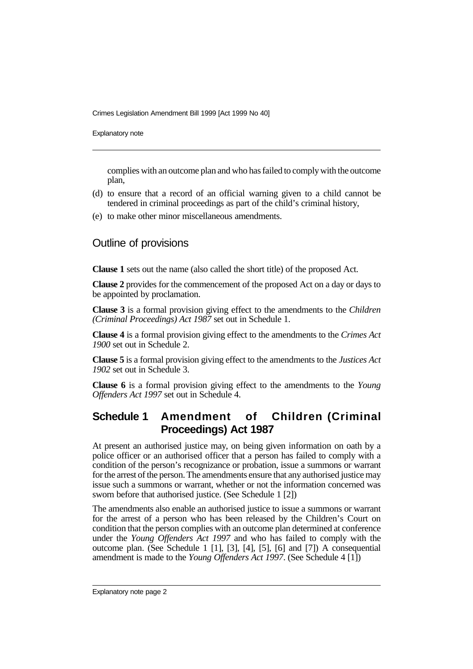Crimes Legislation Amendment Bill 1999 [Act 1999 No 40]

Explanatory note

complies with an outcome plan and who has failed to comply with the outcome plan,

- (d) to ensure that a record of an official warning given to a child cannot be tendered in criminal proceedings as part of the child's criminal history,
- (e) to make other minor miscellaneous amendments.

### Outline of provisions

**Clause 1** sets out the name (also called the short title) of the proposed Act.

**Clause 2** provides for the commencement of the proposed Act on a day or days to be appointed by proclamation.

**Clause 3** is a formal provision giving effect to the amendments to the *Children (Criminal Proceedings) Act 1987* set out in Schedule 1.

**Clause 4** is a formal provision giving effect to the amendments to the *Crimes Act 1900* set out in Schedule 2.

**Clause 5** is a formal provision giving effect to the amendments to the *Justices Act 1902* set out in Schedule 3.

**Clause 6** is a formal provision giving effect to the amendments to the *Young Offenders Act 1997* set out in Schedule 4.

## **Schedule 1 Amendment of Children (Criminal Proceedings) Act 1987**

At present an authorised justice may, on being given information on oath by a police officer or an authorised officer that a person has failed to comply with a condition of the person's recognizance or probation, issue a summons or warrant for the arrest of the person. The amendments ensure that any authorised justice may issue such a summons or warrant, whether or not the information concerned was sworn before that authorised justice. (See Schedule 1 [2])

The amendments also enable an authorised justice to issue a summons or warrant for the arrest of a person who has been released by the Children's Court on condition that the person complies with an outcome plan determined at conference under the *Young Offenders Act 1997* and who has failed to comply with the outcome plan. (See Schedule 1 [1], [3], [4], [5], [6] and [7]) A consequential amendment is made to the *Young Offenders Act 1997*. (See Schedule 4 [1])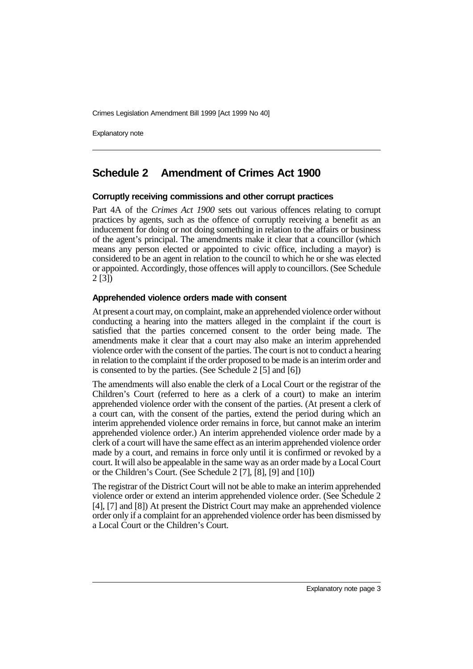Crimes Legislation Amendment Bill 1999 [Act 1999 No 40]

Explanatory note

### **Schedule 2 Amendment of Crimes Act 1900**

#### **Corruptly receiving commissions and other corrupt practices**

Part 4A of the *Crimes Act 1900* sets out various offences relating to corrupt practices by agents, such as the offence of corruptly receiving a benefit as an inducement for doing or not doing something in relation to the affairs or business of the agent's principal. The amendments make it clear that a councillor (which means any person elected or appointed to civic office, including a mayor) is considered to be an agent in relation to the council to which he or she was elected or appointed. Accordingly, those offences will apply to councillors. (See Schedule 2 [3])

#### **Apprehended violence orders made with consent**

At present a court may, on complaint, make an apprehended violence order without conducting a hearing into the matters alleged in the complaint if the court is satisfied that the parties concerned consent to the order being made. The amendments make it clear that a court may also make an interim apprehended violence order with the consent of the parties. The court is not to conduct a hearing in relation to the complaint if the order proposed to be made is an interim order and is consented to by the parties. (See Schedule 2 [5] and [6])

The amendments will also enable the clerk of a Local Court or the registrar of the Children's Court (referred to here as a clerk of a court) to make an interim apprehended violence order with the consent of the parties. (At present a clerk of a court can, with the consent of the parties, extend the period during which an interim apprehended violence order remains in force, but cannot make an interim apprehended violence order.) An interim apprehended violence order made by a clerk of a court will have the same effect as an interim apprehended violence order made by a court, and remains in force only until it is confirmed or revoked by a court. It will also be appealable in the same way as an order made by a Local Court or the Children's Court. (See Schedule 2 [7], [8], [9] and [10])

The registrar of the District Court will not be able to make an interim apprehended violence order or extend an interim apprehended violence order. (See Schedule 2 [4], [7] and [8]) At present the District Court may make an apprehended violence order only if a complaint for an apprehended violence order has been dismissed by a Local Court or the Children's Court.